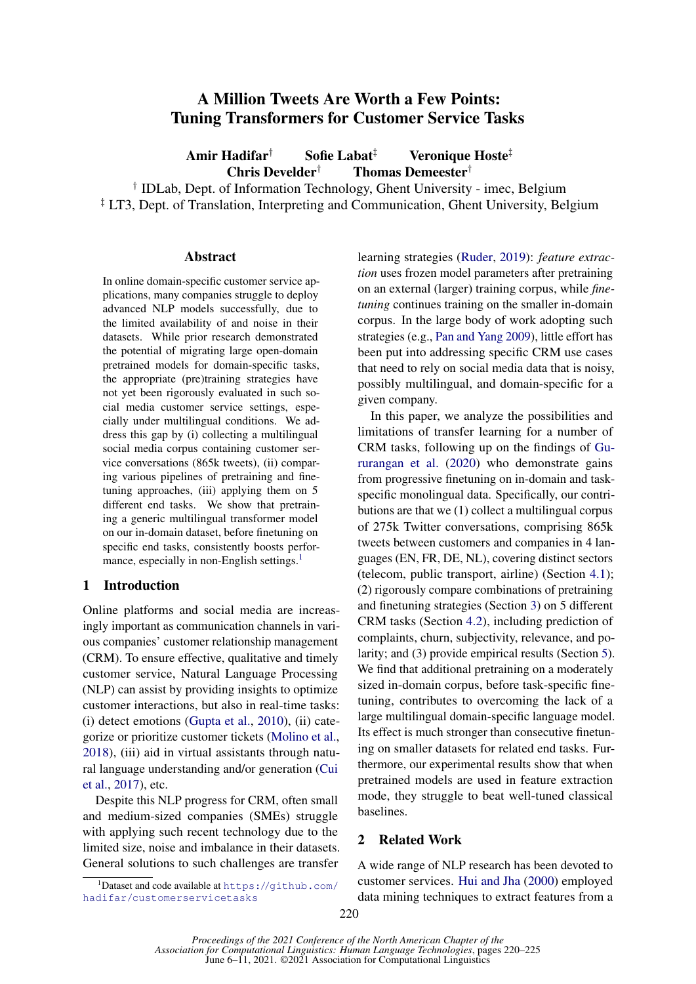# A Million Tweets Are Worth a Few Points: Tuning Transformers for Customer Service Tasks

Amir Hadifar† Sofie Labat‡ Veronique Hoste‡ Chris Develder† Thomas Demeester†

† IDLab, Dept. of Information Technology, Ghent University - imec, Belgium <sup>‡</sup> LT3, Dept. of Translation, Interpreting and Communication, Ghent University, Belgium

## Abstract

In online domain-specific customer service applications, many companies struggle to deploy advanced NLP models successfully, due to the limited availability of and noise in their datasets. While prior research demonstrated the potential of migrating large open-domain pretrained models for domain-specific tasks, the appropriate (pre)training strategies have not yet been rigorously evaluated in such social media customer service settings, especially under multilingual conditions. We address this gap by (i) collecting a multilingual social media corpus containing customer service conversations (865k tweets), (ii) comparing various pipelines of pretraining and finetuning approaches, (iii) applying them on 5 different end tasks. We show that pretraining a generic multilingual transformer model on our in-domain dataset, before finetuning on specific end tasks, consistently boosts perfor-mance, especially in non-English settings.<sup>[1](#page-0-0)</sup>

## 1 Introduction

Online platforms and social media are increasingly important as communication channels in various companies' customer relationship management (CRM). To ensure effective, qualitative and timely customer service, Natural Language Processing (NLP) can assist by providing insights to optimize customer interactions, but also in real-time tasks: (i) detect emotions [\(Gupta et al.,](#page-4-0) [2010\)](#page-4-0), (ii) categorize or prioritize customer tickets [\(Molino et al.,](#page-5-0) [2018\)](#page-5-0), (iii) aid in virtual assistants through natural language understanding and/or generation [\(Cui](#page-4-1) [et al.,](#page-4-1) [2017\)](#page-4-1), etc.

Despite this NLP progress for CRM, often small and medium-sized companies (SMEs) struggle with applying such recent technology due to the limited size, noise and imbalance in their datasets. General solutions to such challenges are transfer

learning strategies [\(Ruder,](#page-5-1) [2019\)](#page-5-1): *feature extraction* uses frozen model parameters after pretraining on an external (larger) training corpus, while *finetuning* continues training on the smaller in-domain corpus. In the large body of work adopting such strategies (e.g., [Pan and Yang](#page-5-2) [2009\)](#page-5-2), little effort has been put into addressing specific CRM use cases that need to rely on social media data that is noisy, possibly multilingual, and domain-specific for a given company.

In this paper, we analyze the possibilities and limitations of transfer learning for a number of CRM tasks, following up on the findings of [Gu](#page-5-3)[rurangan et al.](#page-5-3) [\(2020\)](#page-5-3) who demonstrate gains from progressive finetuning on in-domain and taskspecific monolingual data. Specifically, our contributions are that we (1) collect a multilingual corpus of 275k Twitter conversations, comprising 865k tweets between customers and companies in 4 languages (EN, FR, DE, NL), covering distinct sectors (telecom, public transport, airline) (Section [4.1\)](#page-1-0); (2) rigorously compare combinations of pretraining and finetuning strategies (Section [3\)](#page-1-1) on 5 different CRM tasks (Section [4.2\)](#page-2-0), including prediction of complaints, churn, subjectivity, relevance, and polarity; and (3) provide empirical results (Section [5\)](#page-3-0). We find that additional pretraining on a moderately sized in-domain corpus, before task-specific finetuning, contributes to overcoming the lack of a large multilingual domain-specific language model. Its effect is much stronger than consecutive finetuning on smaller datasets for related end tasks. Furthermore, our experimental results show that when pretrained models are used in feature extraction mode, they struggle to beat well-tuned classical baselines.

## 2 Related Work

A wide range of NLP research has been devoted to customer services. [Hui and Jha](#page-5-4) [\(2000\)](#page-5-4) employed data mining techniques to extract features from a

<span id="page-0-0"></span> $^1$ Dataset and code available at <code>[https://github.com/](https://github.com/hadifar/customerservicetasks)</code> [hadifar/customerservicetasks](https://github.com/hadifar/customerservicetasks)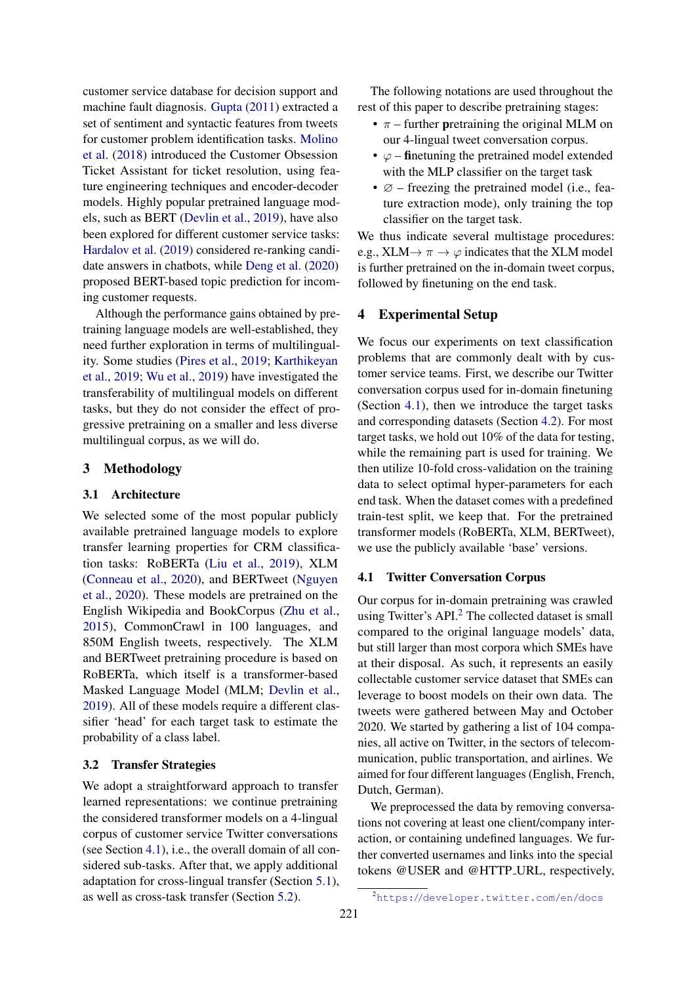customer service database for decision support and machine fault diagnosis. [Gupta](#page-4-2) [\(2011\)](#page-4-2) extracted a set of sentiment and syntactic features from tweets for customer problem identification tasks. [Molino](#page-5-0) [et al.](#page-5-0) [\(2018\)](#page-5-0) introduced the Customer Obsession Ticket Assistant for ticket resolution, using feature engineering techniques and encoder-decoder models. Highly popular pretrained language models, such as BERT [\(Devlin et al.,](#page-4-3) [2019\)](#page-4-3), have also been explored for different customer service tasks: [Hardalov et al.](#page-5-5) [\(2019\)](#page-5-5) considered re-ranking candidate answers in chatbots, while [Deng et al.](#page-4-4) [\(2020\)](#page-4-4) proposed BERT-based topic prediction for incoming customer requests.

Although the performance gains obtained by pretraining language models are well-established, they need further exploration in terms of multilinguality. Some studies [\(Pires et al.,](#page-5-6) [2019;](#page-5-6) [Karthikeyan](#page-5-7) [et al.,](#page-5-7) [2019;](#page-5-7) [Wu et al.,](#page-5-8) [2019\)](#page-5-8) have investigated the transferability of multilingual models on different tasks, but they do not consider the effect of progressive pretraining on a smaller and less diverse multilingual corpus, as we will do.

## <span id="page-1-1"></span>3 Methodology

## 3.1 Architecture

We selected some of the most popular publicly available pretrained language models to explore transfer learning properties for CRM classification tasks: RoBERTa [\(Liu et al.,](#page-5-9) [2019\)](#page-5-9), XLM [\(Conneau et al.,](#page-4-5) [2020\)](#page-4-5), and BERTweet [\(Nguyen](#page-5-10) [et al.,](#page-5-10) [2020\)](#page-5-10). These models are pretrained on the English Wikipedia and BookCorpus [\(Zhu et al.,](#page-5-11) [2015\)](#page-5-11), CommonCrawl in 100 languages, and 850M English tweets, respectively. The XLM and BERTweet pretraining procedure is based on RoBERTa, which itself is a transformer-based Masked Language Model (MLM; [Devlin et al.,](#page-4-3) [2019\)](#page-4-3). All of these models require a different classifier 'head' for each target task to estimate the probability of a class label.

## 3.2 Transfer Strategies

We adopt a straightforward approach to transfer learned representations: we continue pretraining the considered transformer models on a 4-lingual corpus of customer service Twitter conversations (see Section [4.1\)](#page-1-0), i.e., the overall domain of all considered sub-tasks. After that, we apply additional adaptation for cross-lingual transfer (Section [5.1\)](#page-3-1), as well as cross-task transfer (Section [5.2\)](#page-4-6).

The following notations are used throughout the rest of this paper to describe pretraining stages:

- $\pi$  further pretraining the original MLM on our 4-lingual tweet conversation corpus.
- $\varphi$  finetuning the pretrained model extended with the MLP classifier on the target task
- $\varnothing$  freezing the pretrained model (i.e., feature extraction mode), only training the top classifier on the target task.

We thus indicate several multistage procedures: e.g.,  $XLM \rightarrow \pi \rightarrow \varphi$  indicates that the XLM model is further pretrained on the in-domain tweet corpus, followed by finetuning on the end task.

## 4 Experimental Setup

We focus our experiments on text classification problems that are commonly dealt with by customer service teams. First, we describe our Twitter conversation corpus used for in-domain finetuning (Section [4.1\)](#page-1-0), then we introduce the target tasks and corresponding datasets (Section [4.2\)](#page-2-0). For most target tasks, we hold out 10% of the data for testing, while the remaining part is used for training. We then utilize 10-fold cross-validation on the training data to select optimal hyper-parameters for each end task. When the dataset comes with a predefined train-test split, we keep that. For the pretrained transformer models (RoBERTa, XLM, BERTweet), we use the publicly available 'base' versions.

#### <span id="page-1-0"></span>4.1 Twitter Conversation Corpus

Our corpus for in-domain pretraining was crawled using Twitter's API.<sup>[2](#page-1-2)</sup> The collected dataset is small compared to the original language models' data, but still larger than most corpora which SMEs have at their disposal. As such, it represents an easily collectable customer service dataset that SMEs can leverage to boost models on their own data. The tweets were gathered between May and October 2020. We started by gathering a list of 104 companies, all active on Twitter, in the sectors of telecommunication, public transportation, and airlines. We aimed for four different languages (English, French, Dutch, German).

We preprocessed the data by removing conversations not covering at least one client/company interaction, or containing undefined languages. We further converted usernames and links into the special tokens @USER and @HTTP URL, respectively,

<span id="page-1-2"></span><sup>2</sup><https://developer.twitter.com/en/docs>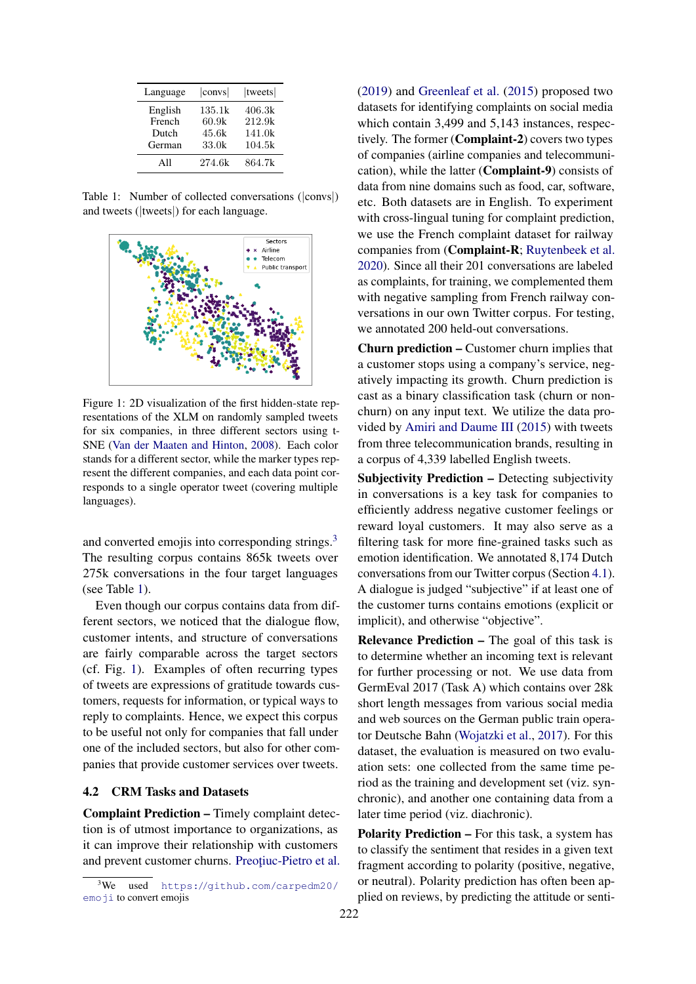<span id="page-2-2"></span>

| Language | $ {\rm conv}s $ | tweets |
|----------|-----------------|--------|
| English  | 135.1k          | 406.3k |
| French   | 60.9k           | 212.9k |
| Dutch    | 45.6k           | 141.0k |
| German   | 33.0k           | 104.5k |
| All      | 274.6k          | 864.7k |

Table 1: Number of collected conversations (|convs|) and tweets (|tweets|) for each language.

<span id="page-2-3"></span>

Figure 1: 2D visualization of the first hidden-state representations of the XLM on randomly sampled tweets for six companies, in three different sectors using t-SNE [\(Van der Maaten and Hinton,](#page-5-12) [2008\)](#page-5-12). Each color stands for a different sector, while the marker types represent the different companies, and each data point corresponds to a single operator tweet (covering multiple languages).

and converted emojis into corresponding strings.<sup>[3](#page-2-1)</sup> The resulting corpus contains 865k tweets over 275k conversations in the four target languages (see Table [1\)](#page-2-2).

Even though our corpus contains data from different sectors, we noticed that the dialogue flow, customer intents, and structure of conversations are fairly comparable across the target sectors (cf. Fig. [1\)](#page-2-3). Examples of often recurring types of tweets are expressions of gratitude towards customers, requests for information, or typical ways to reply to complaints. Hence, we expect this corpus to be useful not only for companies that fall under one of the included sectors, but also for other companies that provide customer services over tweets.

## <span id="page-2-0"></span>4.2 CRM Tasks and Datasets

Complaint Prediction – Timely complaint detection is of utmost importance to organizations, as it can improve their relationship with customers and prevent customer churns. Preotiuc-Pietro et al. [\(2019\)](#page-5-13) and [Greenleaf et al.](#page-4-7) [\(2015\)](#page-4-7) proposed two datasets for identifying complaints on social media which contain 3,499 and 5,143 instances, respectively. The former (Complaint-2) covers two types of companies (airline companies and telecommunication), while the latter (Complaint-9) consists of data from nine domains such as food, car, software, etc. Both datasets are in English. To experiment with cross-lingual tuning for complaint prediction, we use the French complaint dataset for railway companies from (Complaint-R; [Ruytenbeek et al.](#page-5-14) [2020\)](#page-5-14). Since all their 201 conversations are labeled as complaints, for training, we complemented them with negative sampling from French railway conversations in our own Twitter corpus. For testing, we annotated 200 held-out conversations.

Churn prediction – Customer churn implies that a customer stops using a company's service, negatively impacting its growth. Churn prediction is cast as a binary classification task (churn or nonchurn) on any input text. We utilize the data provided by [Amiri and Daume III](#page-4-8) [\(2015\)](#page-4-8) with tweets from three telecommunication brands, resulting in a corpus of 4,339 labelled English tweets.

Subjectivity Prediction – Detecting subjectivity in conversations is a key task for companies to efficiently address negative customer feelings or reward loyal customers. It may also serve as a filtering task for more fine-grained tasks such as emotion identification. We annotated 8,174 Dutch conversations from our Twitter corpus (Section [4.1\)](#page-1-0). A dialogue is judged "subjective" if at least one of the customer turns contains emotions (explicit or implicit), and otherwise "objective".

Relevance Prediction – The goal of this task is to determine whether an incoming text is relevant for further processing or not. We use data from GermEval 2017 (Task A) which contains over 28k short length messages from various social media and web sources on the German public train operator Deutsche Bahn [\(Wojatzki et al.,](#page-5-15) [2017\)](#page-5-15). For this dataset, the evaluation is measured on two evaluation sets: one collected from the same time period as the training and development set (viz. synchronic), and another one containing data from a later time period (viz. diachronic).

Polarity Prediction – For this task, a system has to classify the sentiment that resides in a given text fragment according to polarity (positive, negative, or neutral). Polarity prediction has often been applied on reviews, by predicting the attitude or senti-

<span id="page-2-1"></span> $3$ We used [https://github.com/carpedm20/](https://github.com/carpedm20/emoji) [emoji](https://github.com/carpedm20/emoji) to convert emojis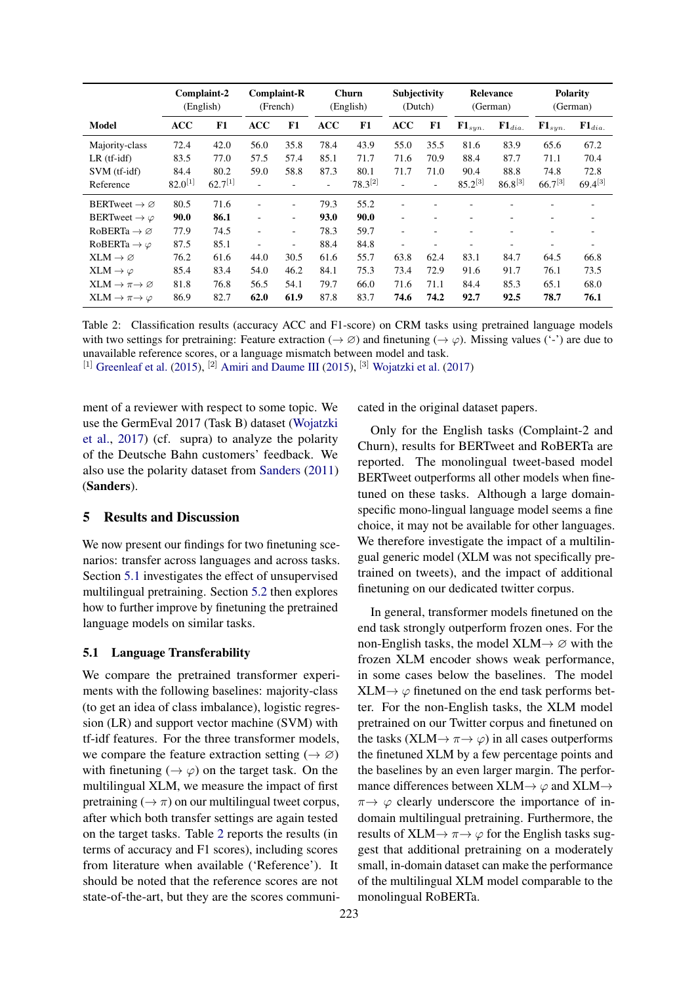<span id="page-3-2"></span>

|                                    |              | Complaint-2<br>(English) | <b>Complaint-R</b> | (French) |            | <b>Churn</b><br>(English) | Subjectivity<br>(Dutch) |      |                   | Relevance<br>(German)    |                   | <b>Polarity</b><br>(German) |
|------------------------------------|--------------|--------------------------|--------------------|----------|------------|---------------------------|-------------------------|------|-------------------|--------------------------|-------------------|-----------------------------|
| Model                              | <b>ACC</b>   | F1                       | <b>ACC</b>         | F1       | <b>ACC</b> | F1                        | ACC                     | F1   | ${\bf F1}_{syn.}$ | ${\bf F1}_{dia.}$        | ${\bf F1}_{syn.}$ | ${\bf F1}_{dia.}$           |
| Majority-class                     | 72.4         | 42.0                     | 56.0               | 35.8     | 78.4       | 43.9                      | 55.0                    | 35.5 | 81.6              | 83.9                     | 65.6              | 67.2                        |
| $LR$ (tf-idf)                      | 83.5         | 77.0                     | 57.5               | 57.4     | 85.1       | 71.7                      | 71.6                    | 70.9 | 88.4              | 87.7                     | 71.1              | 70.4                        |
| SVM (tf-idf)                       | 84.4         | 80.2                     | 59.0               | 58.8     | 87.3       | 80.1                      | 71.7                    | 71.0 | 90.4              | 88.8                     | 74.8              | 72.8                        |
| Reference                          | $82.0^{[1]}$ | $62.7^{[1]}$             |                    |          |            | $78.3^{[2]}$              |                         |      | $85.2^{[3]}$      | $86.8^{[3]}$             | $66.7^{[3]}$      | $69.4^{[3]}$                |
| BERTweet $\rightarrow \varnothing$ | 80.5         | 71.6                     |                    | -        | 79.3       | 55.2                      |                         |      |                   |                          |                   |                             |
| BERTweet $\rightarrow \varphi$     | 90.0         | 86.1                     | $\overline{a}$     | $\sim$   | 93.0       | 90.0                      | ٠                       | ۰    |                   | $\overline{\phantom{a}}$ | ۰                 |                             |
| $RoBERTa \rightarrow \emptyset$    | 77.9         | 74.5                     |                    | ۰.       | 78.3       | 59.7                      | ۰                       |      |                   | $\overline{\phantom{a}}$ | ٠                 |                             |
| RoBERTa $\rightarrow \varphi$      | 87.5         | 85.1                     | ٠                  | Ξ.       | 88.4       | 84.8                      | $\sim$                  |      | ۰                 | ٠                        | ٠                 |                             |
| $XLM \rightarrow \varnothing$      | 76.2         | 61.6                     | 44.0               | 30.5     | 61.6       | 55.7                      | 63.8                    | 62.4 | 83.1              | 84.7                     | 64.5              | 66.8                        |
| $XLM \rightarrow \varphi$          | 85.4         | 83.4                     | 54.0               | 46.2     | 84.1       | 75.3                      | 73.4                    | 72.9 | 91.6              | 91.7                     | 76.1              | 73.5                        |
| $XLM \to \pi \to \varnothing$      | 81.8         | 76.8                     | 56.5               | 54.1     | 79.7       | 66.0                      | 71.6                    | 71.1 | 84.4              | 85.3                     | 65.1              | 68.0                        |
| $XLM \to \pi \to \varphi$          | 86.9         | 82.7                     | 62.0               | 61.9     | 87.8       | 83.7                      | 74.6                    | 74.2 | 92.7              | 92.5                     | 78.7              | 76.1                        |

Table 2: Classification results (accuracy ACC and F1-score) on CRM tasks using pretrained language models with two settings for pretraining: Feature extraction ( $\rightarrow \emptyset$ ) and finetuning ( $\rightarrow \emptyset$ ). Missing values ('-') are due to unavailable reference scores, or a language mismatch between model and task.

<sup>[1]</sup> [Greenleaf et al.](#page-4-7) [\(2015\)](#page-4-8), <sup>[2]</sup> [Amiri and Daume III](#page-4-8) (2015), <sup>[3]</sup> [Wojatzki et al.](#page-5-15) [\(2017\)](#page-5-15)

ment of a reviewer with respect to some topic. We use the GermEval 2017 (Task B) dataset [\(Wojatzki](#page-5-15) [et al.,](#page-5-15) [2017\)](#page-5-15) (cf. supra) to analyze the polarity of the Deutsche Bahn customers' feedback. We also use the polarity dataset from [Sanders](#page-5-16) [\(2011\)](#page-5-16) (Sanders).

## <span id="page-3-0"></span>5 Results and Discussion

We now present our findings for two finetuning scenarios: transfer across languages and across tasks. Section [5.1](#page-3-1) investigates the effect of unsupervised multilingual pretraining. Section [5.2](#page-4-6) then explores how to further improve by finetuning the pretrained language models on similar tasks.

## <span id="page-3-1"></span>5.1 Language Transferability

We compare the pretrained transformer experiments with the following baselines: majority-class (to get an idea of class imbalance), logistic regression (LR) and support vector machine (SVM) with tf-idf features. For the three transformer models, we compare the feature extraction setting ( $\rightarrow \emptyset$ ) with finetuning  $(\rightarrow \varphi)$  on the target task. On the multilingual XLM, we measure the impact of first pretraining ( $\rightarrow \pi$ ) on our multilingual tweet corpus, after which both transfer settings are again tested on the target tasks. Table [2](#page-3-2) reports the results (in terms of accuracy and F1 scores), including scores from literature when available ('Reference'). It should be noted that the reference scores are not state-of-the-art, but they are the scores communicated in the original dataset papers.

Only for the English tasks (Complaint-2 and Churn), results for BERTweet and RoBERTa are reported. The monolingual tweet-based model BERTweet outperforms all other models when finetuned on these tasks. Although a large domainspecific mono-lingual language model seems a fine choice, it may not be available for other languages. We therefore investigate the impact of a multilingual generic model (XLM was not specifically pretrained on tweets), and the impact of additional finetuning on our dedicated twitter corpus.

In general, transformer models finetuned on the end task strongly outperform frozen ones. For the non-English tasks, the model  $XLM \rightarrow \emptyset$  with the frozen XLM encoder shows weak performance, in some cases below the baselines. The model  $XLM \rightarrow \varphi$  finetuned on the end task performs better. For the non-English tasks, the XLM model pretrained on our Twitter corpus and finetuned on the tasks (XLM $\rightarrow \pi \rightarrow \varphi$ ) in all cases outperforms the finetuned XLM by a few percentage points and the baselines by an even larger margin. The performance differences between  $XLM \rightarrow \varphi$  and  $XLM \rightarrow \varphi$  $\pi \rightarrow \varphi$  clearly underscore the importance of indomain multilingual pretraining. Furthermore, the results of  $XLM \rightarrow \pi \rightarrow \varphi$  for the English tasks suggest that additional pretraining on a moderately small, in-domain dataset can make the performance of the multilingual XLM model comparable to the monolingual RoBERTa.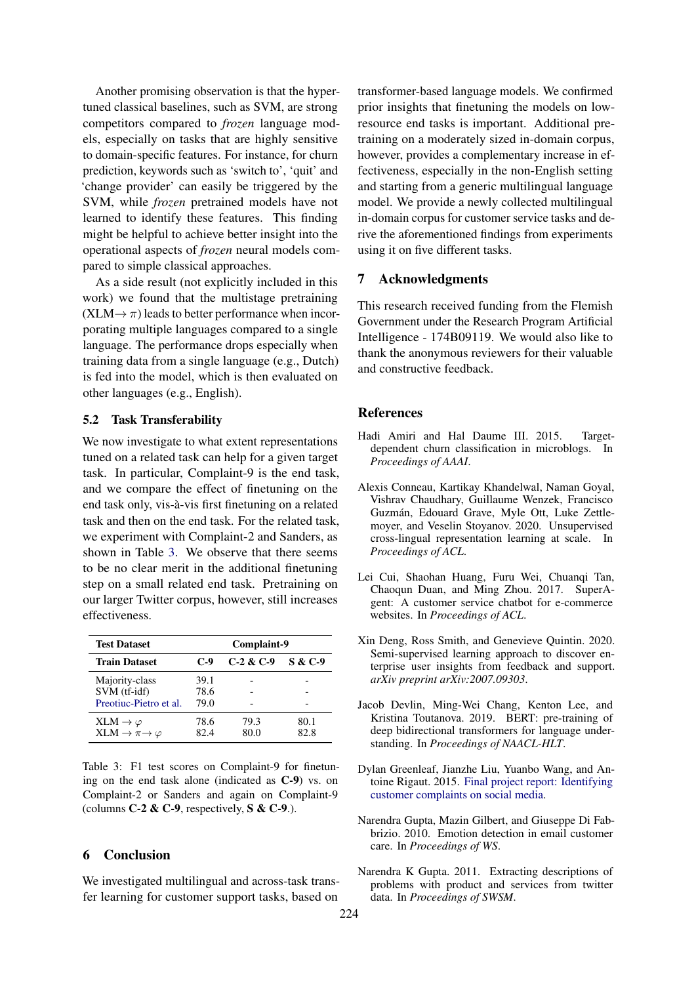Another promising observation is that the hypertuned classical baselines, such as SVM, are strong competitors compared to *frozen* language models, especially on tasks that are highly sensitive to domain-specific features. For instance, for churn prediction, keywords such as 'switch to', 'quit' and 'change provider' can easily be triggered by the SVM, while *frozen* pretrained models have not learned to identify these features. This finding might be helpful to achieve better insight into the operational aspects of *frozen* neural models compared to simple classical approaches.

As a side result (not explicitly included in this work) we found that the multistage pretraining  $(XLM \rightarrow \pi)$  leads to better performance when incorporating multiple languages compared to a single language. The performance drops especially when training data from a single language (e.g., Dutch) is fed into the model, which is then evaluated on other languages (e.g., English).

## <span id="page-4-6"></span>5.2 Task Transferability

We now investigate to what extent representations tuned on a related task can help for a given target task. In particular, Complaint-9 is the end task, and we compare the effect of finetuning on the end task only, vis-à-vis first finetuning on a related task and then on the end task. For the related task, we experiment with Complaint-2 and Sanders, as shown in Table [3.](#page-4-9) We observe that there seems to be no clear merit in the additional finetuning step on a small related end task. Pretraining on our larger Twitter corpus, however, still increases effectiveness.

<span id="page-4-9"></span>

| <b>Test Dataset</b>                                            | Complaint-9          |              |                    |
|----------------------------------------------------------------|----------------------|--------------|--------------------|
| <b>Train Dataset</b>                                           | $C-9$                | $C-2 & C-9$  | <b>S &amp; C-9</b> |
| Majority-class<br>SVM (tf-idf)<br>Preotiuc-Pietro et al.       | 39.1<br>78.6<br>79.0 |              |                    |
| $XLM \to \varphi$<br>XLM $\rightarrow \pi \rightarrow \varphi$ | 78.6<br>82.4         | 79.3<br>80.0 | 80.1<br>82.8       |

Table 3: F1 test scores on Complaint-9 for finetuning on the end task alone (indicated as C-9) vs. on Complaint-2 or Sanders and again on Complaint-9 (columns  $C-2$  &  $C-9$ , respectively,  $S \& C-9$ .).

#### 6 Conclusion

We investigated multilingual and across-task transfer learning for customer support tasks, based on

transformer-based language models. We confirmed prior insights that finetuning the models on lowresource end tasks is important. Additional pretraining on a moderately sized in-domain corpus, however, provides a complementary increase in effectiveness, especially in the non-English setting and starting from a generic multilingual language model. We provide a newly collected multilingual in-domain corpus for customer service tasks and derive the aforementioned findings from experiments using it on five different tasks.

## 7 Acknowledgments

This research received funding from the Flemish Government under the Research Program Artificial Intelligence - 174B09119. We would also like to thank the anonymous reviewers for their valuable and constructive feedback.

#### References

- <span id="page-4-8"></span>Hadi Amiri and Hal Daume III. 2015. Targetdependent churn classification in microblogs. In *Proceedings of AAAI*.
- <span id="page-4-5"></span>Alexis Conneau, Kartikay Khandelwal, Naman Goyal, Vishrav Chaudhary, Guillaume Wenzek, Francisco Guzman, Edouard Grave, Myle Ott, Luke Zettle- ´ moyer, and Veselin Stoyanov. 2020. Unsupervised cross-lingual representation learning at scale. In *Proceedings of ACL*.
- <span id="page-4-1"></span>Lei Cui, Shaohan Huang, Furu Wei, Chuanqi Tan, Chaoqun Duan, and Ming Zhou. 2017. SuperAgent: A customer service chatbot for e-commerce websites. In *Proceedings of ACL*.
- <span id="page-4-4"></span>Xin Deng, Ross Smith, and Genevieve Quintin. 2020. Semi-supervised learning approach to discover enterprise user insights from feedback and support. *arXiv preprint arXiv:2007.09303*.
- <span id="page-4-3"></span>Jacob Devlin, Ming-Wei Chang, Kenton Lee, and Kristina Toutanova. 2019. BERT: pre-training of deep bidirectional transformers for language understanding. In *Proceedings of NAACL-HLT*.
- <span id="page-4-7"></span>Dylan Greenleaf, Jianzhe Liu, Yuanbo Wang, and Antoine Rigaut. 2015. [Final project report: Identifying](https://github.com/RigautAntoine/twitter-customer-service) [customer complaints on social media.](https://github.com/RigautAntoine/twitter-customer-service)
- <span id="page-4-0"></span>Narendra Gupta, Mazin Gilbert, and Giuseppe Di Fabbrizio. 2010. Emotion detection in email customer care. In *Proceedings of WS*.
- <span id="page-4-2"></span>Narendra K Gupta. 2011. Extracting descriptions of problems with product and services from twitter data. In *Proceedings of SWSM*.